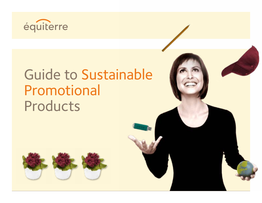

# Guide to Sustainable Promotional Products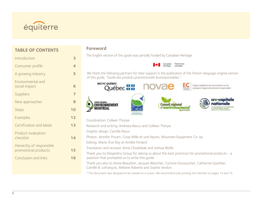

## **TABLE OF CONTENTS**

| Introduction                                     | 3  |
|--------------------------------------------------|----|
| Consumer profile                                 | 4  |
| A growing industry                               | 5  |
| Environmental and<br>social impact               | 6  |
| Suppliers                                        | 7  |
| New approaches                                   | 8  |
| <b>Steps</b>                                     | 10 |
| Examples                                         | 12 |
| Certification and labels                         | 13 |
| Product evaluation<br>checklist                  | 14 |
| Hierarchy of responsible<br>promotional products | 15 |
| Conclusion and links                             | 16 |
|                                                  |    |

#### **Foreword**

The English version of this guide was partially funded by Canadian Heritage.



We thank the following partners for their support in the publication of the French-language original version of this guide, ''Guide des produits promotionnels écoresponsables.''



- Coordination: Colleen Thorpe
- Research and writing: Andreea Iliescu and Colleen Thorpe
- Graphic design: Camille Rioux
- Photos: Jennifer Pocart, Coop Mille et une façons, Mountain Equipment Co-op
- Editing: Marie-Ève Roy et Amélie Ferland
- Translation and revision: Anne Chudobiak and Joshua Wolfe
	- Thank you to Desjardins Group for asking us about the best practices for promotional products a question that prompted us to write this guide.

Thank you also to Annie Beaudoin, Jacques Blanchet, Corinne Dussouchet, Catherine Gauthier, Camille B. Lefrançois, Mélanie Rabette and Sophie Verdon.

\* This document was designed to be viewed on a screen. We recommend only printing the checklist on pages 14 and 15.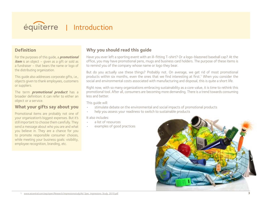<span id="page-2-0"></span>

## **Definition**

For the purposes of this guide, a **promotional item** is an object – given as a gift or sold as a fundraiser – that bears the name or logo of the distributing organization.

This guide also addresses corporate gifts, i.e., objects given to thank employees, customers or suppliers.

The term **promotional product** has a broader definition: it can refer to either an object or a service.

## **What your gifts say about you**

Promotional items are probably not one of your organization's biggest expenses. But it's still important to choose them carefully. They send a message about who you are and what you believe in. They are a chance for you to promote responsible consumer choices, while meeting your business goals: visibility, employee recognition, branding, etc.

## **Why you should read this guide**

Have you ever left a sporting event with an ill-fitting T-shirt? Or a logo-blazoned baseball cap? At the office, you may have promotional pens, mugs and business card holders. The purpose of these items is to remind you of the company whose name or logo they bear.

But do you actually use these things? Probably not. On average, we get rid of most promotional products within six months, even the ones that we find interesting at first[.1](http://www.asicentral.com/asp/open/Research/impressionsstudy/Ad_Spec_Impressions_Study_2010.pdf) When you consider the social and environmental costs associated with manufacturing and disposal, this is quite a short life.

Right now, with so many organizations embracing sustainability as a core value, it is time to rethink this promotional tool. After all, consumers are becoming more demanding. There is a trend towards consuming less and better.

This guide will:

- stimulate debate on the environmental and social impacts of promotional products
- help you assess your readiness to switch to sustainable products

It also includes:

- a list of resources
- examples of good practices

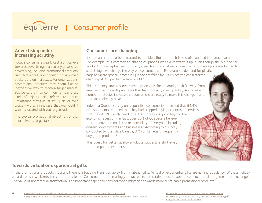<span id="page-3-0"></span>

## **Advertising under increasing scrutiny**

Today's consumers clearly cast a critical eye towards advertising, particularly unsolicited advertising, including promotional products. Just think about how popular "no junk mail" stickers are on mailboxes. For organizations, promotional products may seem like an inexpensive way to reach a target market. But be careful! It's common to hear these kinds of objects being referred to in such unflattering terms as "stuff," "junk" or even worse – words, in any case, that you wouldn't want associated with your organization.

The typical promotional object is trendy… short-lived… forgettable.

## **Consumers are changing**

It's human nature to be attracted to freebies. But too much free stuff can lead to overconsumption. For example, it is common to change cellphones when a contract is up, even though the old one still works. Or to accept a free USB stick, even though you already have five. But when a price is attached to such things, we change the way we consume them. For example, demand for plastic bags at Metro grocery stores in Quebec has fallen by 80% since the chain started charging \$0.05 per bag in June [2](http://www.radio-canada.ca/nouvelles/environnement/2011/01/03/001-sacs-plastique-canada-epiceries.shtml)009.<sup>2</sup>

This tendency towards overconsumption calls for a paradigm shift away from impulse buys towards purchases that favour quality over quantity. An increasing number of studies indicate that consumers are ready to make this change – and that some already have.

Indeed, a Quebec survey on responsible consumption revealed that 64.4% of respondents reported that they had stopped buying products or services that they didn't strictly need in 2010, for reasons going beyond the economic recession.3 In fact, over 80% of Quebecers believe that the environment is the responsibility of everyone, including citizens, governments and businesses.4 According to a survey conducted by Statistics Canada, 37% of Canadians frequently buy green products.<sup>5</sup>

This quest for better quality products suggests a shift away from rampant consumerism.

## **Towards virtual or experiential gifts**

In the promotional products industry, there is a budding transition away from material gifts. Virtual or experiential gifts are gaining popularity. Witness holiday e-cards or show tickets for corporate clients. Consumers are increasingly attracted to interactive, social experiences such as skits, games and exchanges. The value of nonmaterial satisfaction is an important aspect to consider when migrating towards more sustainable promotional products.<sup>6</sup>

**4** 2 [www.radio-canada.ca/nouvelles/environnement/2011/01/03/001-sacs-plastique-canada-epiceries.shtml](http://www.radio-canada.ca/nouvelles/environnement/2011/01/03/001-sacs-plastique-canada-epiceries.shtml)

3 [www.protegez-vous.ca/maison-et-environnement/le-barometre-de-la-consommation-responsable/trois-grandes-tendances.html](http://www.protegez-vous.ca/maison-et-environnement/le-barometre-de-la-consommation-responsable/trois-grandes-tendances.html)

<sup>4</sup> [www.sondagemontreal.com/content/view/173/60/lang,fr/](http://www.sondagemontreal.com/content/view/173/60/lang,fr/)

<sup>5</sup> [www.statcan.gc.ca/pub/11-526-x/11-526-x2009001-eng.pdf](http://www.statcan.gc.ca/pub/11-526-x/11-526-x2009001-eng.pdf)

<sup>6</sup> <http://caitlineoconnor.wordpress.com>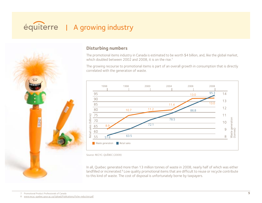## <span id="page-4-0"></span>équiterre | A growing industry



## **Disturbing numbers**

The promotional items industry in Canada is estimated to be worth \$4 billion, and, like the global market, which doubled between 2002 and 2008, it is on the rise.<sup>7</sup>

The growing recourse to promotional items is part of an overall growth in consumption that is directly correlated with the generation of waste.



In all, Quebec generated more than 13 million tonnes of waste in 2008, nearly half of which was either landfilled or incinerated.<sup>8</sup> Low quality promotional items that are difficult to reuse or recycle contribute to this kind of waste. The cost of disposal is unfortunately borne by taxpayers.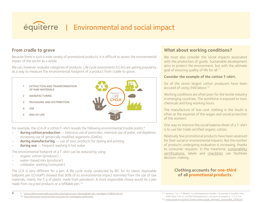## <span id="page-5-0"></span>| Environmental and social impact  $\overline{\phantom{a}}$

## **From cradle to grave**

**From cradie to grave**<br>Because there is such a wide variety of promotional products, it is difficult to assess the environmental impact of the sector as a whole. **C** Cycle is difficult to



For example, the LCA of a cotton T-shirt reveals the following environmental trouble points:<sup>9</sup>

- **during cotton production** intensive use of pesticides, intensive use of water, soil depletion, increasing use of genetically modified organisms (GMOs)
- **during manufacturing** use of toxic products for dyeing and printing
- **during use** frequent washing in hot water

The environmental footprint of a T-shirt can be reduced by using:

- organic cotton (producer)
- • water-based inks (producer)
- coldwater washing (consumer)

The LCA is very different for a pen. A life cycle study conducted by BIC for its classic disposable ballpoint pen (Cristal®) showed that 90% of its environmental impact stemmed from the use of raw materials, mainly the 5 g of plastic made from petroleum. A more responsible choice would be a pen made from recycled products or a refillable pen[.10](http://entreprise-environnement.org/stylo-bic-ecologiques-publicitaire/)

## **What about working conditions?**

We must also consider the social impacts associated with the production of goods. Sustainable development aims to protect the environment, but with the ultimate goal of ensuring quality of life for all.<sup>11</sup>

#### **Consider the example of the cotton T-shirt.**

Six of the seven largest cotton producers have been accused of using child labour.<sup>12</sup>

Working conditions are often poor for the textile industry in emerging countries. The workforce is exposed to toxic chemicals and long working hours.

The manufacture of low-cost clothing in the South is often at the expense of the wages and social protection of the workers.

One way to improve the social balance sheet of a T-shirt is to use fair trade certified organic cotton.

Relatively few promotional products have been assessed for their social or environmental impacts. But the number of products undergoing evaluation is increasing, thanks to consumer requests. In the meantime, sustainability certifications, labels and checklists can facilitate decision-making.

## **Clothing accounts for one-third of all promotional products.**

**<sup>6</sup>** 9 [www.coalitionresponsable.org/index2.php?option=com\\_docman&task=doc\\_view&gid=143&Itemid=20](http://www.coalitionresponsable.org/index2.php?option=com_docman&task=doc_view&gid=143&Itemid=20)

<sup>10</sup> <http://entreprise-environnement.org/stylo-bic-ecologiques-publicitaire/>

<sup>11</sup> Gendron, <C.et> J.-P. Révéret. « Le développement durable », Économies et Sociétés, Paris, 2000 (Série F No 37, 9/2000 Développement, croissance et progrès), p. 117 à 124.

<sup>12</sup> [www.equiterre.org/sites/fichiers/divers/guide\\_vetement\\_responsable\\_2008.pdf](http://www.equiterre.org/sites/fichiers/divers/guide_vetement_responsable_2008.pdf)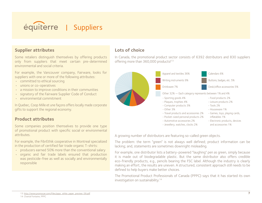<span id="page-6-0"></span>

## **Supplier attributes**

Some retailers distinguish themselves by offering products only from suppliers that meet certain pre-determined environmental and social criteria.

For example, the Vancouver company, Fairware, looks for suppliers with one or more of the following attributes:

- committed to ethical sourcing
- • unions or co-operatives
- a mission to improve conditions in their communities
- signatory of the Fairware Supplier Code of Conduct
- • environmental commitment

In Quebec, Coop Mille et une façons offers locally made corporate gifts to support the regional economy.

### **Product attributes**

Some companies position themselves to provide one type of promotional product with specific social or environmental attributes.

For example, the FibrEthik cooperative in Montreal specialized in the production of certified fair trade organic T-shirts:

- producers earned 50% more than the conventional salary
- • organic and fair trade labels ensured that production was pesticide-free as well as socially and environmentally responsible

## **Lots of choice**

In Canada, the promotional product sector consists of 6392 distributors and 830 suppliers offering more than 360,000 products!<sup>13</sup>



A growing number of distributors are featuring so-called green objects.

The problem: the term "green" is not always well defined; product information can be lacking; and, statements are sometimes downright misleading.

For example, one distributor lists a battery-powered "laughing" pen as green, simply because it is made out of biodegradable plastic. But the same distributor also offers credible eco-friendly products, e.g., pencils bearing the FSC label. Although the industry is clearly making an effort, the results are uneven. A structured, consistent approach still needs to be defined to help buyers make better choices.

The Promotional Product Professionals of Canada (PPPC) says that it has started its own investigation on sustainability.<sup>14</sup>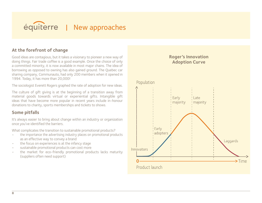<span id="page-7-0"></span>

## **At the forefront of change**

Good ideas are contagious, but it takes a visionary to pioneer a new way of doing things. Fair trade coffee is a good example. Once the choice of only a committed minority, it is now available in most major chains. The idea of borrowing as opposed to owning has also gained ground. The Quebec car sharing company, Communauto, had only 200 members when it opened in 1994. Today, it has more than 20,000!

The sociologist Everett Rogers graphed the rate of adoption for new ideas.

The culture of gift giving is at the beginning of a transition away from material goods towards virtual or experiential gifts. Intangible gift ideas that have become more popular in recent years include in-honour donations to charity, sports memberships and tickets to shows.

## **Some pitfalls**

It's always easier to bring about change within an industry or organization once you've identified the barriers.

What complicates the transition to sustainable promotional products?

- the importance the advertising industry places on promotional products as an effective way to convey a brand
- • the focus on experiences is at the infancy stage
- • sustainable promotional products can cost more
- the market for eco-friendly promotional products lacks maturity (suppliers often need support)

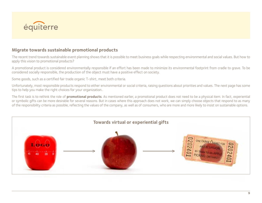

## **Migrate towards sustainable promotional products**

The recent trend towards sustainable event planning shows that it is possible to meet business goals while respecting environmental and social values. But how to apply this vision to promotional products?

A promotional product is considered environmentally responsible if an effort has been made to minimize its environmental footprint from cradle to grave. To be considered socially responsible, the production of the object must have a positive effect on society.

Some goods, such as a certified fair trade organic T-shirt, meet both criteria.

Unfortunately, most responsible products respond to either environmental or social criteria, raising questions about priorities and values. The next page has some tips to help you make the right choices for your organization..

The first task is to rethink the role of **promotional products**. As mentioned earlier, a promotional product does not need to be a physical item. In fact, experiential or symbolic gifts can be more desirable for several reasons. But in cases where this approach does not work, we can simply choose objects that respond to as many of the responsibility criteria as possible, reflecting the values of the company, as well as of consumers, who are more and more likely to insist on sustainable options.

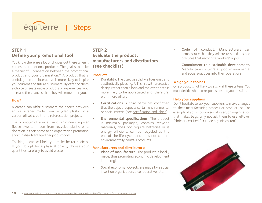<span id="page-9-0"></span>

## **Step 1 Define your promotional tool**

You know there are a lot of choices out there when it comes to promotional products. The goal is to make a meaningful connection between the promotional product and your organization.<sup>15</sup> A product that is useful, green and interactive is more likely to inspire your current and future customers. By offering them a choice of sustainable products or experiences, you increase the chances that they will remember you.

#### **How?**

A garage can offer customers the choice between an ice scraper made from recycled plastic or a carbon offset credit for a reforestation project.

The promoter of a race can offer runners a polar fleece sweater made from recycled plastic or a donation in their name to an organization promoting sport in disadvantaged neighbourhoods.

Thinking ahead will help you make better choices. If you do opt for a physical object, choose your quantities carefully to avoid waste.

## **Step 2 Evaluate the product, manufacturers and distributors (see checklist)**

#### **Product:**

- **Durability.** The object is solid, well designed and aesthetically pleasing. A T-shirt with a creative design rather than a logo and the event date is more likely to be appreciated and, therefore, worn more often
- Certifications. A third party has confirmed that the object respects certain environmental or social criteria (see certification and labels).
- **Environmental specifications.** The product is minimally packaged, contains recycled materials, does not require batteries or is energy efficient, can be recycled at the end of the life cycle, and does not contain environmentally harmful products.

#### **Manufacturers and distributors:**

- Place of manufacture. The product is locally made, thus promoting economic development in the region.
- Social economy. Objects are made by a social insertion organization, a co-operative, etc.
- Code of conduct. Manufacturers can demonstrate that they adhere to standards and practices that recognize workers' rights.
- Commitment to sustainable development. Manufacturers integrate good environmental and social practices into their operations.

#### **Weigh your choices**

One product is not likely to satisfy all these criteria. You must decide what corresponds best to your mission.

#### **Help your suppliers**

Don't hesitate to ask your suppliers to make changes to their manufacturing process or product list. For example, if you choose a social insertion organization that makes bags, why not ask them to use leftover fabric or certified fair trade organic cotton?

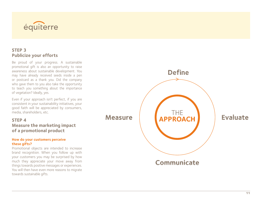

## **Step 3 Publicize your efforts**

Be proud of your progress. A sustainable promotional gift is also an opportunity to raise awareness about sustainable development. You may have already received seeds inside a pen or postcard as a thank you. Did the company who gave them to you also take the opportunity to teach you something about the importance of vegetation? Ideally, yes.

Even if your approach isn't perfect, if you are consistent in your sustainability initiatives, your good faith will be appreciated by consumers, media, shareholders, etc.

#### **Step 4**

**Measure the marketing impact of a promotional product**

#### **How do your customers perceive these gifts?**

Promotional objects are intended to increase brand recognition. When you follow up with your customers you may be surprised by how much they appreciate your move away from things towards positive messages or experiences. You will then have even more reasons to migrate towards sustainable gifts.

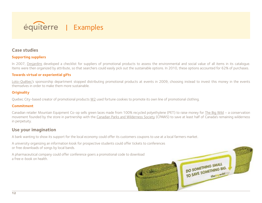<span id="page-11-0"></span>

#### **Case studies**

#### **Supporting suppliers**

In 2007, Desjardins developed a checklist for suppliers of promotional products to assess the environmental and social value of all items in its catalogue. Items were then organized by attribute, so that searchers could easily pick out the sustainable options. In 2010, these options accounted for 62% of purchases.

#### **Towards virtual or experiential gifts**

Loto-Québec's sponsorship department stopped distributing promotional products at events in 2009, choosing instead to invest this money in the events themselves in order to make them more sustainable.

#### **Originality**

Quebec City-based creator of promotional products W2 used fortune cookies to promote its own line of promotional clothing.

#### **Commitment**

Canadian retailer Mountain Equipment Co-op sells green laces made from 100% recycled polyethylene (PET) to raise money for The Big Wild – a conservation movement founded by the store in partnership with the Canadian Parks and Wilderness Society (CPAWS) to save at least half of Canada's remaining wilderness in perpetuity.

## **Use your imagination**

A bank wanting to show its support for the local economy could offer its customers coupons to use at a local farmers market.

A university organizing an information kiosk for prospective students could offer tickets to conferences or free downloads of songs by local bands.

A pharmaceutical company could offer conference goers a promotional code to download a free e-book on health.



DO SOMETHING SMALL DO SOMETHING SMALL<br>TO SAVE SOMETHING BIG. the wild or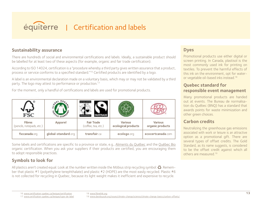## <span id="page-12-0"></span>équiterre | Certification and labels

## **Sustainability assurance**

There are hundreds of social and environmental certifications and labels. Ideally, a sustainable product should be labelled for at least two of these aspects (for example, organic and fair trade certification).

According to ISO 14024, certification is a "procedure whereby a third party gives written assurance that a product, process or service conforms to a specified standard."16 Certified products are identified by a logo.

A label is an environmental declaration made on a voluntary basis, which may or may not be validated by a third party. The logo may attest to performance or production.<sup>17</sup>

For the moment, only a handful of certifications and labels are used for promotional products.

| FSC                                        |                     |                                          |                                       |                                    |
|--------------------------------------------|---------------------|------------------------------------------|---------------------------------------|------------------------------------|
| <b>Fibres</b><br>(pencils, notepads, etc.) | <b>Apparel</b>      | <b>Fair Trade</b><br>(coffee, tea, etc.) | <b>Various</b><br>ecological products | <b>Various</b><br>organic products |
| fsccanada.org                              | global-standard.org | transfair.ca                             | ecologo.org                           | ecocertcanada.com                  |

Some labels and certifications are specific to a province or state, e.g., Aliments du Québec and the Québec Bio organic certification. When you ask your suppliers if their products are certified, you are encouraging them to adopt responsible practices.

## **Symbols to look for**

All plastics aren't created equal. Look at the number written inside the Möbius strip recycling symbol:  $\ddot{\bullet}$ . Remember that plastic #1 (polyethylene terephthalate) and plastic #2 (HDPE) are the most easily recycled. Plastic #6 is not collected for recycling in Quebec, because its light weight makes it inefficient and expensive to recycle.

## **Dyes**

Promotional products use either digital or screen printing. In Canada, plastisol is the most commonly used ink for printing on textiles. To prevent the harmful effects of this ink on the environment, opt for wateror vegetable oil-based inks instead.[18](http://www.fibrethik.org)

## **Quebec standard for responsible event management**

Many promotional products are handed out at events. The Bureau de normalisation du Québec (BNQ) has a standard that awards points for waste minimization and other green choices.

## **Carbon credits**

Neutralizing the greenhouse gas emissions associated with work or leisure is an attractive option as a promotional gift. There are several types of offset credits. The Gold Standard, as its name suggests, is considered to be the offset credit against which all others are measured.19

19 <www.davidsuzuki.org/issues/climate>-change/science/climate-change-basics/carbon-offsets/

<sup>16</sup> [www.certification-quebec.ca/lexique/certification](http://www.certification-quebec.ca/lexique/certification)

<sup>17</sup> [www.certification-quebec.ca/lexique/type-de-label](http://www.certification-quebec.ca/lexique/type-de-label)

<sup>18</sup> [www.fibrethik.org](http://www.fibrethik.org)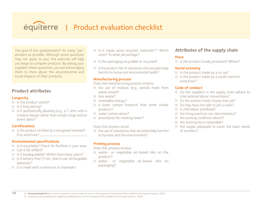## <span id="page-13-0"></span>équiterre | Product evaluation checklist

The goal of this questionnaire? As many "yes" answers as possible. Although some questions may not apply to you, this exercise will help you begin to compare products. By asking your suppliers these questions, you are encouraging them to think about the environmental and social impacts of their products.

## **Product attributes**

#### **Longevity**

- $\blacksquare$  Is the product useful?
- $\blacksquare$  Is it long lasting?
- $\blacksquare$  Is it aesthetically pleasing (e.g., a T-shirt with a creative design rather than simply a logo and an event date)?

#### **Certifications**

 $\blacksquare$  Is the product certified by a recognized standard? If so, which one?

#### **Environmental specifications**

- Is it recyclable? Check for facilities in your area.
- Can it be refilled?

**14**

- $\blacksquare$  Is it biodegradable? Within how many years?
- Is it battery free? If not, does it use rechargeable batteries?
- $\Box$  Is it made with a minimum of materials?
- $\Box$  Is it made using recycled materials?<sup>20</sup> Which ones? To what percentage?
- Is the packaging recyclable or recycled?
- $\blacksquare$  Is the product free of substances that are potentially harmful to human and environmental health?

#### **Manufacturing process**

Does the manufacturing process involve:

- $\blacksquare$  the use of residues (e.g., pencils made from waste wood)?
- less waste?
- $\blacksquare$  renewable energy?
- a lower carbon footprint than other similar products?
- **Water conservation?**
- **procedures for treating water?**

#### Does this process avoid:

 $\blacksquare$  the use of substances that are potentially harmful to humans and the environment?

#### **Printing process**

Does this process involve:

- water- or vegetable oil-based inks on the product?
- water- or vegetable oil-based inks on packaging?

## **Attributes of the supply chain**

#### **Place**

 $\Box$  Is the product locally produced? Where?

#### **Social economy**

- $\blacksquare$  Is the product made by a co-op?
- $\blacksquare$  Is the product made by a social insertion enterprise?<sup>21</sup>

#### **Code of conduct**

- Do the suppliers in the supply chain adhere to international labour conventions?
- Do the workers freely choose their job?
- $\Box$  Do they have the right to join a union?
- Is child labour prohibited?
- Are hiring practices non-discriminatory?
- Are working conditions decent?
- Are working hours reasonable?
- Are wages adequate to cover the basic needs of workers?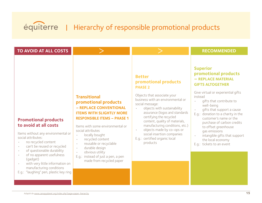# <span id="page-14-0"></span>équiterre | Hierarchy of responsible promotional products

| TO AVOID AT ALL COSTS                                                                                                                                                                                                                                                                                                                                       |                                                                                                                                                                                                                                                                                                                                                                                                                                    |                                                                                                                                                                                                                                                                                                                                                                                                                                      | <b>RECOMMENDED</b>                                                                                                                                                                                                                                                                                                                                                                                                                                                    |
|-------------------------------------------------------------------------------------------------------------------------------------------------------------------------------------------------------------------------------------------------------------------------------------------------------------------------------------------------------------|------------------------------------------------------------------------------------------------------------------------------------------------------------------------------------------------------------------------------------------------------------------------------------------------------------------------------------------------------------------------------------------------------------------------------------|--------------------------------------------------------------------------------------------------------------------------------------------------------------------------------------------------------------------------------------------------------------------------------------------------------------------------------------------------------------------------------------------------------------------------------------|-----------------------------------------------------------------------------------------------------------------------------------------------------------------------------------------------------------------------------------------------------------------------------------------------------------------------------------------------------------------------------------------------------------------------------------------------------------------------|
| <b>Promotional products</b><br>to avoid at all costs<br>Items without any environmental or<br>social attributes:<br>no recycled content<br>can't be reused or recycled<br>٠<br>of questionable durability<br>of no apparent usefulness<br>(gadget)<br>with very little information on<br>manufacturing conditions<br>E.g.: "laughing" pen, plastic key ring | <b>Transitional</b><br>promotional products<br>- REPLACE CONVENTIONAL<br><b>ITEMS WITH SLIGHTLY MORE</b><br><b>RESPONSIBLE ITEMS - PHASE 1</b><br>Items with some environmental or<br>social attributes<br>locally bought<br>$\bullet$<br>recycled content<br>$\bullet$<br>reusable or recyclable<br>durable design<br>$\bullet$<br>obvious utility<br>$\bullet$<br>E.g.: instead of just a pen, a pen<br>made from recycled paper | <b>Better</b><br>promotional products<br><b>PHASE 2</b><br>Objects that associate your<br>business with an environmental or<br>social message:<br>objects with sustainability<br>assurance (logos and standards<br>certifying the recycled<br>content, quality of materials,<br>manufacturing conditions, etc.)<br>objects made by co-ops or<br>$\bullet$<br>social insertion companies<br>E.g.: certified organic local<br>products | <b>Superior</b><br>promotional products<br>- REPLACE MATERIAL<br><b>GIFTS ALTOGETHER</b><br>Give virtual or experiential gifts<br>instead<br>gifts that contribute to<br>$\bullet$<br>well-being<br>gifts that support a cause<br>$\bullet$<br>E.g.: donation to a charity in the<br>customer's name or the<br>purchase of carbon credits<br>to offset greenhouse<br>gas emissions<br>intangible gifts that support<br>the local economy<br>E.q.: tickets to an event |